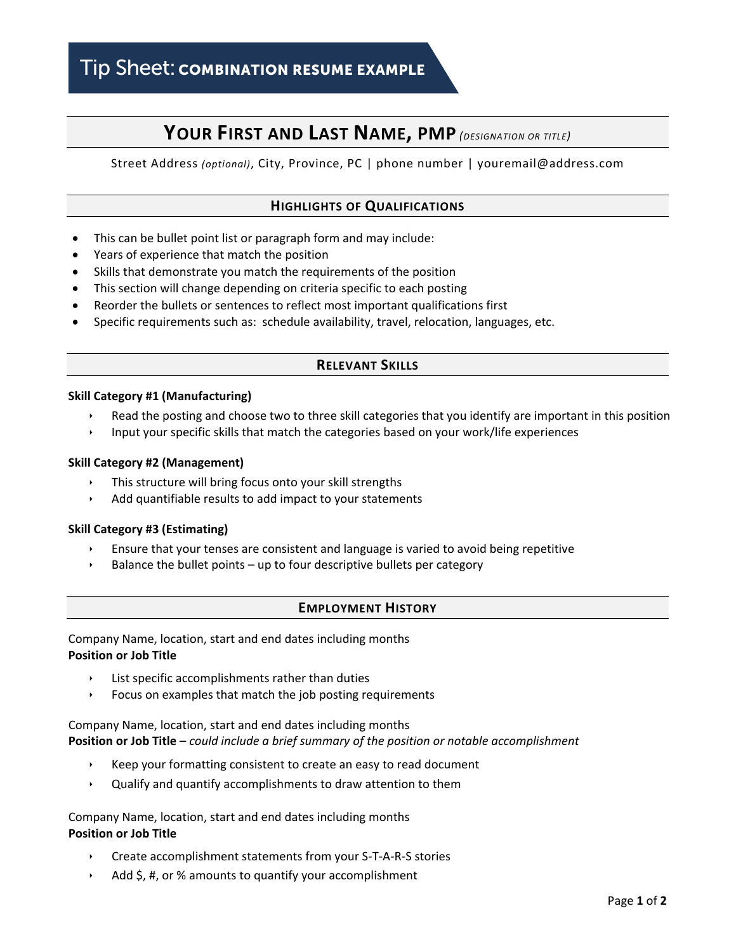# **YOUR FIRST AND LAST NAME, PMP** *(DESIGNATION OR TITLE)*

Street Address *(optional)*, City, Province, PC | phone number | [youremail@address.com](mailto:youremail@address.com)

# **HIGHLIGHTS OF QUALIFICATIONS**

- This can be bullet point list or paragraph form and may include:
- Years of experience that match the position
- Skills that demonstrate you match the requirements of the position
- This section will change depending on criteria specific to each posting
- Reorder the bullets or sentences to reflect most important qualifications first
- Specific requirements such as: schedule availability, travel, relocation, languages, etc.

## **RELEVANT SKILLS**

#### **Skill Category #1 (Manufacturing)**

- Read the posting and choose two to three skill categories that you identify are important in this position
- Input your specific skills that match the categories based on your work/life experiences

#### **Skill Category #2 (Management)**

- This structure will bring focus onto your skill strengths
- $\rightarrow$  Add quantifiable results to add impact to your statements

#### **Skill Category #3 (Estimating)**

- Ensure that your tenses are consistent and language is varied to avoid being repetitive
- $\rightarrow$  Balance the bullet points up to four descriptive bullets per category

## **EMPLOYMENT HISTORY**

Company Name, location, start and end dates including months **Position or Job Title**

- List specific accomplishments rather than duties
- $\rightarrow$  Focus on examples that match the job posting requirements

Company Name, location, start and end dates including months **Position or Job Title** – *could include a brief summary of the position or notable accomplishment*

- Keep your formatting consistent to create an easy to read document
- Qualify and quantify accomplishments to draw attention to them

Company Name, location, start and end dates including months **Position or Job Title**

- Create accomplishment statements from your S-T-A-R-S stories
- Add \$, #, or % amounts to quantify your accomplishment